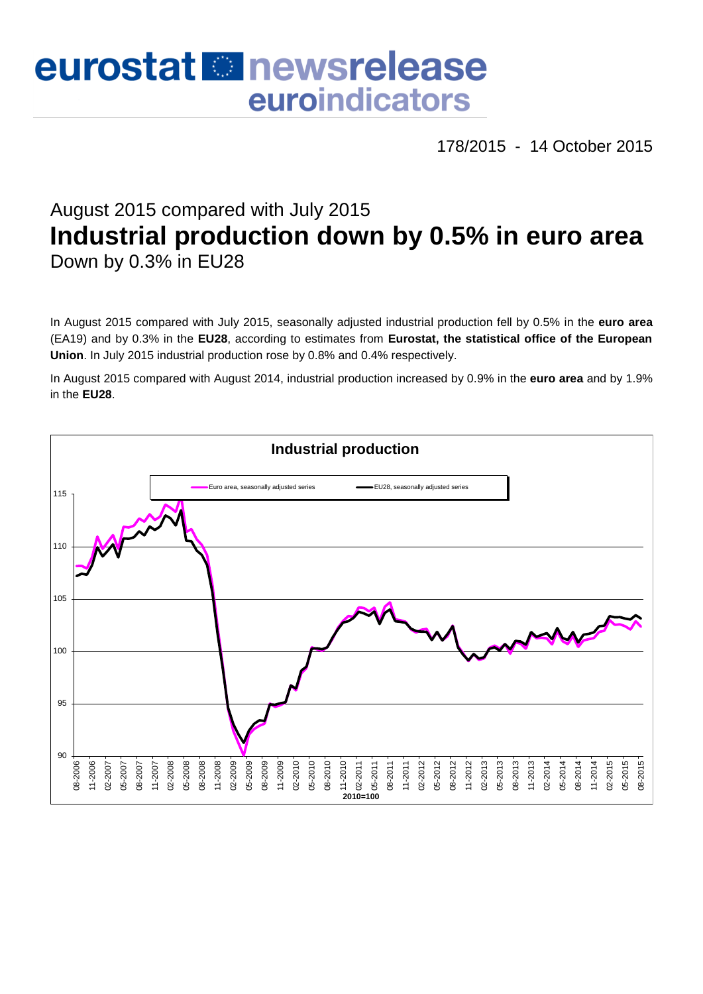# eurostat **E**newsrelease euroindicators

178/2015 - 14 October 2015

# August 2015 compared with July 2015 **Industrial production down by 0.5% in euro area** Down by 0.3% in EU28

In August 2015 compared with July 2015, seasonally adjusted industrial production fell by 0.5% in the **euro area**  (EA19) and by 0.3% in the **EU28**, according to estimates from **Eurostat, the statistical office of the European Union**. In July 2015 industrial production rose by 0.8% and 0.4% respectively.

In August 2015 compared with August 2014, industrial production increased by 0.9% in the **euro area** and by 1.9% in the **EU28**.

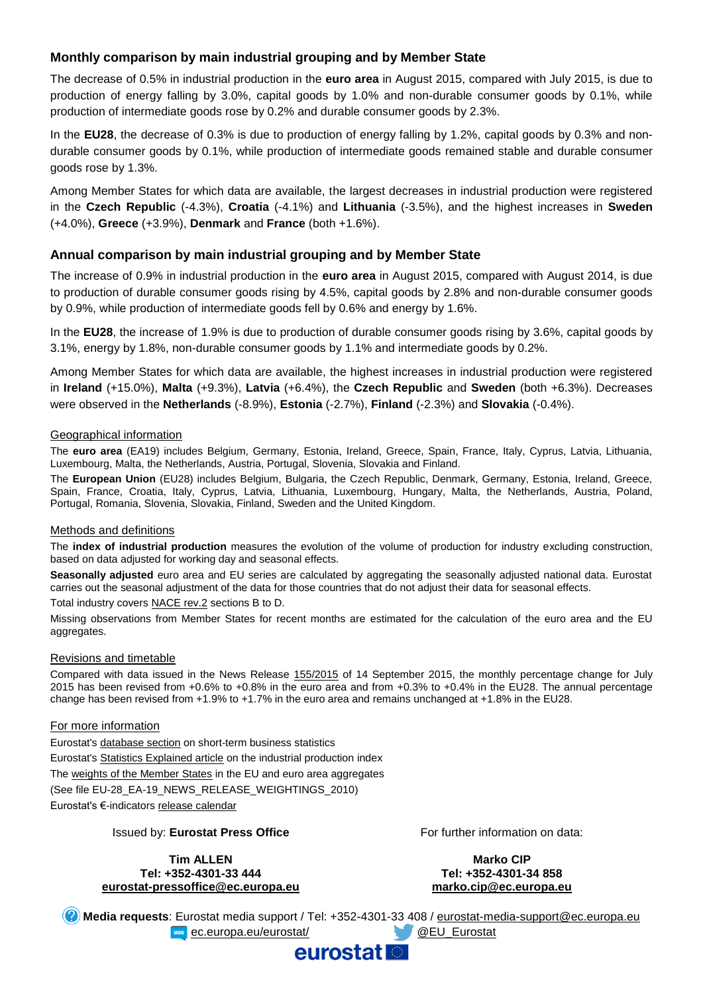# **Monthly comparison by main industrial grouping and by Member State**

The decrease of 0.5% in industrial production in the **euro area** in August 2015, compared with July 2015, is due to production of energy falling by 3.0%, capital goods by 1.0% and non-durable consumer goods by 0.1%, while production of intermediate goods rose by 0.2% and durable consumer goods by 2.3%.

In the **EU28**, the decrease of 0.3% is due to production of energy falling by 1.2%, capital goods by 0.3% and nondurable consumer goods by 0.1%, while production of intermediate goods remained stable and durable consumer goods rose by 1.3%.

Among Member States for which data are available, the largest decreases in industrial production were registered in the **Czech Republic** (-4.3%), **Croatia** (-4.1%) and **Lithuania** (-3.5%), and the highest increases in **Sweden**  (+4.0%), **Greece** (+3.9%), **Denmark** and **France** (both +1.6%).

#### **Annual comparison by main industrial grouping and by Member State**

The increase of 0.9% in industrial production in the **euro area** in August 2015, compared with August 2014, is due to production of durable consumer goods rising by 4.5%, capital goods by 2.8% and non-durable consumer goods by 0.9%, while production of intermediate goods fell by 0.6% and energy by 1.6%.

In the **EU28**, the increase of 1.9% is due to production of durable consumer goods rising by 3.6%, capital goods by 3.1%, energy by 1.8%, non-durable consumer goods by 1.1% and intermediate goods by 0.2%.

Among Member States for which data are available, the highest increases in industrial production were registered in **Ireland** (+15.0%), **Malta** (+9.3%), **Latvia** (+6.4%), the **Czech Republic** and **Sweden** (both +6.3%). Decreases were observed in the **Netherlands** (-8.9%), **Estonia** (-2.7%), **Finland** (-2.3%) and **Slovakia** (-0.4%).

#### Geographical information

The **euro area** (EA19) includes Belgium, Germany, Estonia, Ireland, Greece, Spain, France, Italy, Cyprus, Latvia, Lithuania, Luxembourg, Malta, the Netherlands, Austria, Portugal, Slovenia, Slovakia and Finland.

The **European Union** (EU28) includes Belgium, Bulgaria, the Czech Republic, Denmark, Germany, Estonia, Ireland, Greece, Spain, France, Croatia, Italy, Cyprus, Latvia, Lithuania, Luxembourg, Hungary, Malta, the Netherlands, Austria, Poland, Portugal, Romania, Slovenia, Slovakia, Finland, Sweden and the United Kingdom.

#### Methods and definitions

The **index of industrial production** measures the evolution of the volume of production for industry excluding construction, based on data adjusted for working day and seasonal effects.

**Seasonally adjusted** euro area and EU series are calculated by aggregating the seasonally adjusted national data. Eurostat carries out the seasonal adjustment of the data for those countries that do not adjust their data for seasonal effects.

Total industry covers [NACE rev.2](http://ec.europa.eu/eurostat/ramon/nomenclatures/index.cfm?TargetUrl=LST_NOM_DTL&StrNom=NACE_REV2&StrLanguageCode=EN&IntPcKey=&StrLayoutCode=HIERARCHIC) sections B to D.

Missing observations from Member States for recent months are estimated for the calculation of the euro area and the EU aggregates.

#### Revisions and timetable

Compared with data issued in the News Release [155/2015](http://ec.europa.eu/eurostat/documents/2995521/6993987/4-14092015-AP-EN.pdf/1d2b2fd6-2de5-46f4-8541-45edfa169638) of 14 September 2015, the monthly percentage change for July 2015 has been revised from +0.6% to +0.8% in the euro area and from +0.3% to +0.4% in the EU28. The annual percentage change has been revised from +1.9% to +1.7% in the euro area and remains unchanged at +1.8% in the EU28.

#### For more information

Eurostat's [database section](http://ec.europa.eu/eurostat/web/short-term-business-statistics/data/database) on short-term business statistics Eurostat's [Statistics Explained article](http://ec.europa.eu/eurostat/statistics-explained/index.php/Industrial_production_(volume)_index_overview) on the industrial production index Th[e weights of the Member States](https://circabc.europa.eu/w/browse/5e6d1e48-056c-4c6a-8278-3ab138bcf575) in the EU and euro area aggregates (See file EU-28\_EA-19\_NEWS\_RELEASE\_WEIGHTINGS\_2010) Eurostat's €-indicators [release calendar](http://ec.europa.eu/eurostat/news/release-calendar)

#### Issued by: **Eurostat Press Office**

**Tim ALLEN Tel: +352-4301-33 444 [eurostat-pressoffice@ec.europa.eu](mailto:eurostat-pressoffice@ec.europa.eu)** For further information on data:

**Marko CIP Tel: +352-4301-34 858 marko.cip@ec.europa.eu**

**Media requests**: Eurostat media support / Tel: +352-4301-33 408 / [eurostat-media-support@ec.europa.eu](mailto:eurostat-media-support@ec.europa.eu) **EXAMPLE EXAMPLE 2018 CONTROLLER EXAMPLE 2019 CONTROLLER EXAMPLE 2019 CONTROLLER EXAMPLE 2019 CONTROLLER EXAMPLE 2019** 

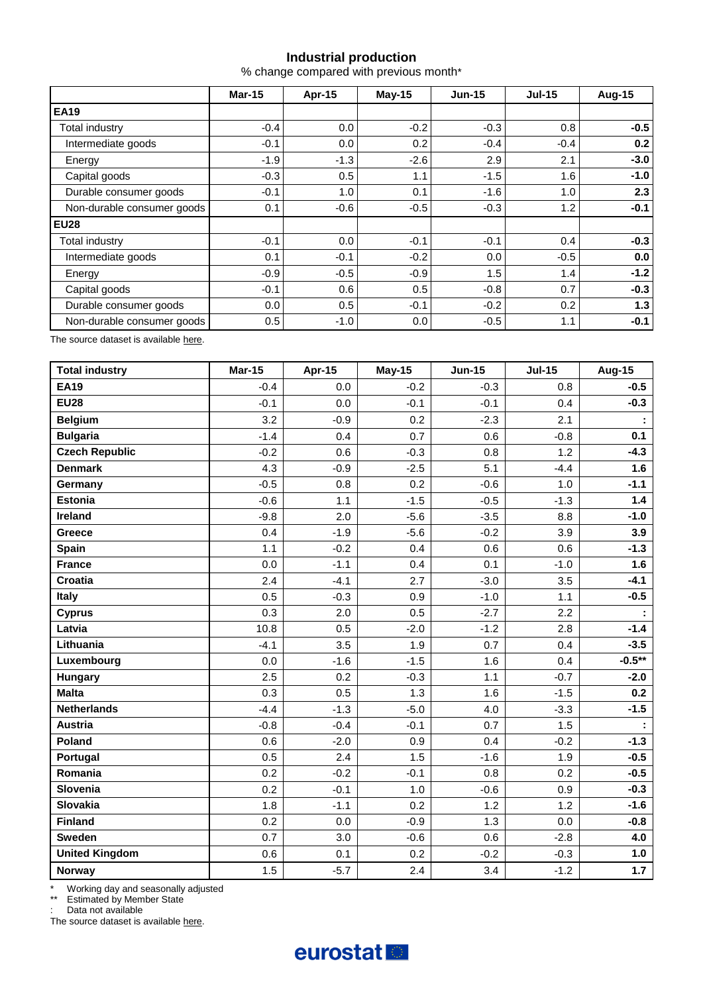# **Industrial production**

% change compared with previous month\*

|                            | <b>Mar-15</b> | Apr-15 | $May-15$ | $Jun-15$ | <b>Jul-15</b> | <b>Aug-15</b> |
|----------------------------|---------------|--------|----------|----------|---------------|---------------|
| <b>EA19</b>                |               |        |          |          |               |               |
| Total industry             | $-0.4$        | 0.0    | $-0.2$   | $-0.3$   | 0.8           | $-0.5$        |
| Intermediate goods         | $-0.1$        | 0.0    | 0.2      | $-0.4$   | $-0.4$        | 0.2           |
| Energy                     | $-1.9$        | $-1.3$ | $-2.6$   | 2.9      | 2.1           | $-3.0$        |
| Capital goods              | $-0.3$        | 0.5    | 1.1      | $-1.5$   | 1.6           | $-1.0$        |
| Durable consumer goods     | $-0.1$        | 1.0    | 0.1      | $-1.6$   | 1.0           | 2.3           |
| Non-durable consumer goods | 0.1           | $-0.6$ | $-0.5$   | $-0.3$   | 1.2           | $-0.1$        |
| <b>EU28</b>                |               |        |          |          |               |               |
| Total industry             | $-0.1$        | 0.0    | $-0.1$   | $-0.1$   | 0.4           | $-0.3$        |
| Intermediate goods         | 0.1           | $-0.1$ | $-0.2$   | 0.0      | $-0.5$        | 0.0           |
| Energy                     | $-0.9$        | $-0.5$ | $-0.9$   | 1.5      | 1.4           | $-1.2$        |
| Capital goods              | $-0.1$        | 0.6    | 0.5      | $-0.8$   | 0.7           | $-0.3$        |
| Durable consumer goods     | 0.0           | 0.5    | $-0.1$   | $-0.2$   | 0.2           | 1.3           |
| Non-durable consumer goods | 0.5           | $-1.0$ | 0.0      | $-0.5$   | 1.1           | $-0.1$        |

The source dataset is available [here.](http://appsso.eurostat.ec.europa.eu/nui/show.do?query=BOOKMARK_DS-069601_QID_2B77704D_UID_-3F171EB0&layout=TIME,C,X,0;GEO,L,Y,0;NACE_R2,L,Y,1;INDIC_BT,L,Z,0;S_ADJ,L,Z,1;UNIT,L,Z,2;INDICATORS,C,Z,3;&zSelection=DS-069601INDIC_BT,PROD;DS-069601UNIT,PCH_PRE;DS-069601INDICATORS,OBS_FLAG;DS-069601S_ADJ,SWDA;&rankName1=UNIT_1_2_-1_2&rankName2=INDIC-BT_1_2_-1_2&rankName3=INDICATORS_1_2_-1_2&rankName4=S-ADJ_1_2_-1_2&rankName5=TIME_1_0_0_0&rankName6=GEO_1_2_0_1&rankName7=NACE-R2_1_2_1_1&sortC=ASC_-1_FIRST&rStp=&cStp=&rDCh=&cDCh=&rDM=true&cDM=true&footnes=false&empty=false&wai=false&time_mode=ROLLING&time_most_recent=true&lang=EN&cfo=%23%23%23%2C%23%23%23.%23%23%23)

| <b>Total industry</b> | <b>Mar-15</b> | Apr-15 | <b>May-15</b> | <b>Jun-15</b> | $Jul-15$ | <b>Aug-15</b> |
|-----------------------|---------------|--------|---------------|---------------|----------|---------------|
| <b>EA19</b>           | $-0.4$        | 0.0    | $-0.2$        | $-0.3$        | 0.8      | $-0.5$        |
| <b>EU28</b>           | $-0.1$        | 0.0    | $-0.1$        | $-0.1$        | 0.4      | $-0.3$        |
| <b>Belgium</b>        | 3.2           | $-0.9$ | 0.2           | $-2.3$        | 2.1      |               |
| <b>Bulgaria</b>       | $-1.4$        | 0.4    | 0.7           | 0.6           | $-0.8$   | 0.1           |
| <b>Czech Republic</b> | $-0.2$        | 0.6    | $-0.3$        | 0.8           | 1.2      | $-4.3$        |
| <b>Denmark</b>        | 4.3           | $-0.9$ | $-2.5$        | 5.1           | $-4.4$   | 1.6           |
| Germany               | $-0.5$        | 0.8    | 0.2           | $-0.6$        | 1.0      | $-1.1$        |
| <b>Estonia</b>        | $-0.6$        | 1.1    | $-1.5$        | $-0.5$        | $-1.3$   | $1.4$         |
| <b>Ireland</b>        | $-9.8$        | 2.0    | $-5.6$        | $-3.5$        | 8.8      | $-1.0$        |
| Greece                | 0.4           | $-1.9$ | $-5.6$        | $-0.2$        | 3.9      | 3.9           |
| Spain                 | 1.1           | $-0.2$ | 0.4           | 0.6           | 0.6      | $-1.3$        |
| <b>France</b>         | 0.0           | $-1.1$ | 0.4           | 0.1           | $-1.0$   | 1.6           |
| Croatia               | 2.4           | $-4.1$ | 2.7           | $-3.0$        | 3.5      | $-4.1$        |
| <b>Italy</b>          | 0.5           | $-0.3$ | 0.9           | $-1.0$        | 1.1      | $-0.5$        |
| <b>Cyprus</b>         | 0.3           | 2.0    | 0.5           | $-2.7$        | 2.2      |               |
| Latvia                | 10.8          | 0.5    | $-2.0$        | $-1.2$        | 2.8      | $-1.4$        |
| Lithuania             | $-4.1$        | 3.5    | 1.9           | 0.7           | 0.4      | $-3.5$        |
| Luxembourg            | 0.0           | $-1.6$ | $-1.5$        | 1.6           | 0.4      | $-0.5**$      |
| Hungary               | 2.5           | 0.2    | $-0.3$        | 1.1           | $-0.7$   | $-2.0$        |
| <b>Malta</b>          | 0.3           | 0.5    | 1.3           | 1.6           | $-1.5$   | 0.2           |
| <b>Netherlands</b>    | $-4.4$        | $-1.3$ | $-5.0$        | 4.0           | $-3.3$   | $-1.5$        |
| <b>Austria</b>        | $-0.8$        | $-0.4$ | $-0.1$        | 0.7           | 1.5      |               |
| Poland                | 0.6           | $-2.0$ | 0.9           | 0.4           | $-0.2$   | $-1.3$        |
| Portugal              | 0.5           | 2.4    | 1.5           | $-1.6$        | 1.9      | $-0.5$        |
| Romania               | 0.2           | $-0.2$ | $-0.1$        | 0.8           | 0.2      | $-0.5$        |
| Slovenia              | 0.2           | $-0.1$ | 1.0           | $-0.6$        | 0.9      | $-0.3$        |
| Slovakia              | 1.8           | $-1.1$ | 0.2           | 1.2           | 1.2      | $-1.6$        |
| <b>Finland</b>        | 0.2           | 0.0    | $-0.9$        | 1.3           | 0.0      | $-0.8$        |
| <b>Sweden</b>         | 0.7           | 3.0    | $-0.6$        | 0.6           | $-2.8$   | 4.0           |
| <b>United Kingdom</b> | 0.6           | 0.1    | 0.2           | $-0.2$        | $-0.3$   | 1.0           |
| <b>Norway</b>         | 1.5           | $-5.7$ | 2.4           | 3.4           | $-1.2$   | $1.7$         |

\* Working day and seasonally adjusted

\*\* Estimated by Member State

: Data not available

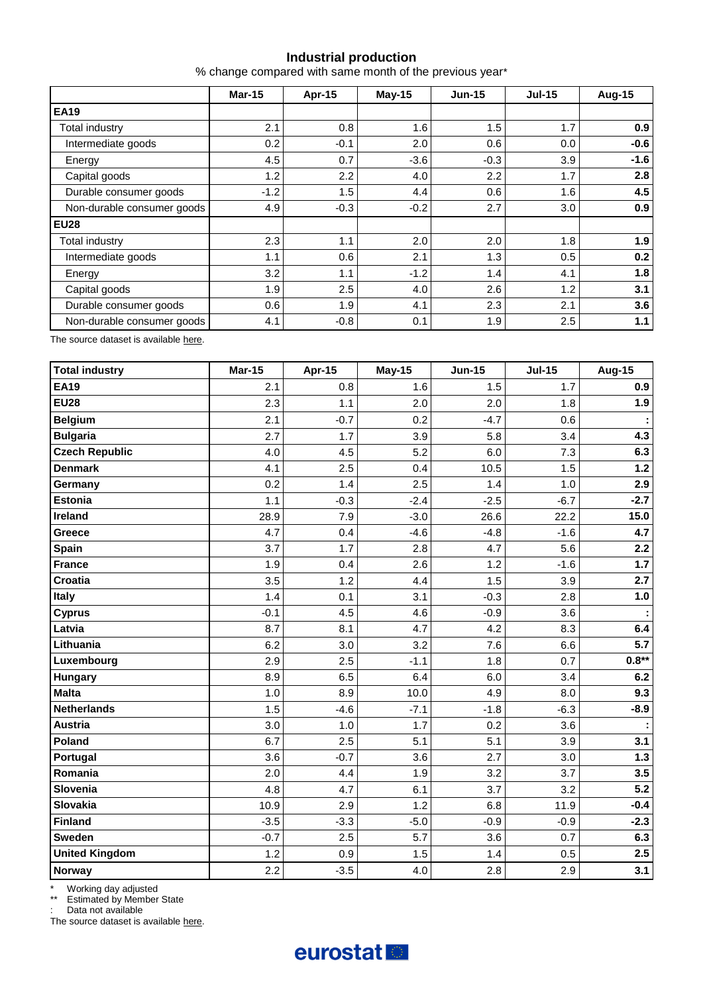# **Industrial production**

% change compared with same month of the previous year\*

|                            | <b>Mar-15</b> | Apr-15  | May-15 | $Jun-15$ | $Jul-15$ | <b>Aug-15</b> |  |
|----------------------------|---------------|---------|--------|----------|----------|---------------|--|
| <b>EA19</b>                |               |         |        |          |          |               |  |
| Total industry             | 2.1           | 0.8     | 1.6    | 1.5      | 1.7      | 0.9           |  |
| Intermediate goods         | 0.2           | $-0.1$  | 2.0    | 0.6      | 0.0      | $-0.6$        |  |
| Energy                     | 4.5           | 0.7     | $-3.6$ | $-0.3$   | 3.9      | $-1.6$        |  |
| Capital goods              | 1.2           | 2.2     | 4.0    | 2.2      | 1.7      | 2.8           |  |
| Durable consumer goods     | $-1.2$        | 1.5     | 4.4    | 0.6      | 1.6      | 4.5           |  |
| Non-durable consumer goods | 4.9           | $-0.3$  | $-0.2$ | 2.7      | 3.0      | 0.9           |  |
| <b>EU28</b>                |               |         |        |          |          |               |  |
| Total industry             | 2.3           | 1.1     | 2.0    | 2.0      | 1.8      | 1.9           |  |
| Intermediate goods         | 1.1           | 0.6     | 2.1    | 1.3      | 0.5      | 0.2           |  |
| Energy                     | 3.2           | 1.1     | $-1.2$ | 1.4      | 4.1      | 1.8           |  |
| Capital goods              | 1.9           | $2.5\,$ | 4.0    | 2.6      | 1.2      | 3.1           |  |
| Durable consumer goods     | 0.6           | 1.9     | 4.1    | 2.3      | 2.1      | 3.6           |  |
| Non-durable consumer goods | 4.1           | $-0.8$  | 0.1    | 1.9      | 2.5      | 1.1           |  |

The source dataset is available [here.](http://appsso.eurostat.ec.europa.eu/nui/show.do?query=BOOKMARK_DS-069601_QID_-25C68083_UID_-3F171EB0&layout=TIME,C,X,0;GEO,L,Y,0;NACE_R2,L,Y,1;INDIC_BT,L,Z,0;S_ADJ,L,Z,1;UNIT,L,Z,2;INDICATORS,C,Z,3;&zSelection=DS-069601INDIC_BT,PROD;DS-069601UNIT,PCH_PRE;DS-069601INDICATORS,OBS_FLAG;DS-069601S_ADJ,SWDA;&rankName1=UNIT_1_2_-1_2&rankName2=INDIC-BT_1_2_-1_2&rankName3=INDICATORS_1_2_-1_2&rankName4=S-ADJ_1_2_-1_2&rankName5=TIME_1_0_0_0&rankName6=GEO_1_2_0_1&rankName7=NACE-R2_1_2_1_1&sortC=ASC_-1_FIRST&rStp=&cStp=&rDCh=&cDCh=&rDM=true&cDM=true&footnes=false&empty=false&wai=false&time_mode=ROLLING&time_most_recent=true&lang=EN&cfo=%23%23%23%2C%23%23%23.%23%23%23)

| <b>Total industry</b> | <b>Mar-15</b> | Apr-15 | <b>May-15</b> | <b>Jun-15</b> | $Jul-15$ | <b>Aug-15</b> |
|-----------------------|---------------|--------|---------------|---------------|----------|---------------|
| <b>EA19</b>           | 2.1           | 0.8    | 1.6           | 1.5           | 1.7      | 0.9           |
| <b>EU28</b>           | 2.3           | 1.1    | 2.0           | 2.0           | 1.8      | 1.9           |
| <b>Belgium</b>        | 2.1           | $-0.7$ | 0.2           | $-4.7$        | 0.6      |               |
| <b>Bulgaria</b>       | 2.7           | 1.7    | 3.9           | 5.8           | 3.4      | 4.3           |
| <b>Czech Republic</b> | 4.0           | 4.5    | 5.2           | 6.0           | 7.3      | 6.3           |
| <b>Denmark</b>        | 4.1           | 2.5    | 0.4           | 10.5          | 1.5      | $1.2$         |
| Germany               | 0.2           | 1.4    | 2.5           | 1.4           | 1.0      | 2.9           |
| <b>Estonia</b>        | 1.1           | $-0.3$ | $-2.4$        | $-2.5$        | $-6.7$   | $-2.7$        |
| Ireland               | 28.9          | 7.9    | $-3.0$        | 26.6          | 22.2     | 15.0          |
| Greece                | 4.7           | 0.4    | $-4.6$        | $-4.8$        | $-1.6$   | 4.7           |
| <b>Spain</b>          | 3.7           | 1.7    | 2.8           | 4.7           | 5.6      | 2.2           |
| <b>France</b>         | 1.9           | 0.4    | 2.6           | 1.2           | $-1.6$   | $1.7$         |
| <b>Croatia</b>        | 3.5           | 1.2    | 4.4           | 1.5           | 3.9      | 2.7           |
| Italy                 | 1.4           | 0.1    | 3.1           | $-0.3$        | 2.8      | 1.0           |
| <b>Cyprus</b>         | $-0.1$        | 4.5    | 4.6           | $-0.9$        | 3.6      |               |
| Latvia                | 8.7           | 8.1    | 4.7           | 4.2           | 8.3      | 6.4           |
| Lithuania             | 6.2           | 3.0    | 3.2           | 7.6           | 6.6      | 5.7           |
| Luxembourg            | 2.9           | 2.5    | $-1.1$        | 1.8           | 0.7      | $0.8**$       |
| Hungary               | 8.9           | 6.5    | 6.4           | 6.0           | 3.4      | 6.2           |
| <b>Malta</b>          | 1.0           | 8.9    | 10.0          | 4.9           | 8.0      | 9.3           |
| <b>Netherlands</b>    | 1.5           | $-4.6$ | $-7.1$        | $-1.8$        | $-6.3$   | $-8.9$        |
| <b>Austria</b>        | 3.0           | 1.0    | 1.7           | 0.2           | 3.6      |               |
| Poland                | 6.7           | 2.5    | 5.1           | 5.1           | 3.9      | 3.1           |
| Portugal              | 3.6           | $-0.7$ | 3.6           | 2.7           | 3.0      | $1.3$         |
| Romania               | 2.0           | 4.4    | 1.9           | 3.2           | 3.7      | 3.5           |
| Slovenia              | 4.8           | 4.7    | 6.1           | 3.7           | 3.2      | 5.2           |
| Slovakia              | 10.9          | 2.9    | 1.2           | 6.8           | 11.9     | $-0.4$        |
| <b>Finland</b>        | $-3.5$        | $-3.3$ | $-5.0$        | $-0.9$        | $-0.9$   | $-2.3$        |
| Sweden                | $-0.7$        | 2.5    | 5.7           | 3.6           | 0.7      | 6.3           |
| <b>United Kingdom</b> | 1.2           | 0.9    | 1.5           | 1.4           | 0.5      | 2.5           |
| Norway                | 2.2           | $-3.5$ | 4.0           | 2.8           | 2.9      | 3.1           |

\* Working day adjusted

\*\* Estimated by Member State

: Data not available

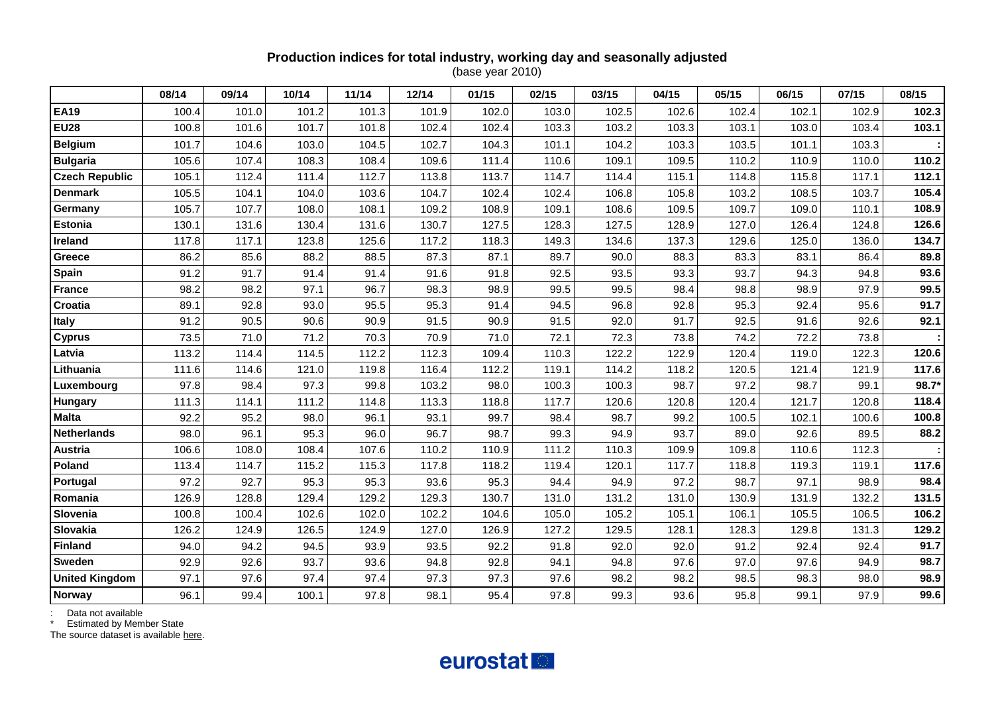#### **Production indices for total industry, working day and seasonally adjusted** (base year 2010)

|                       | 08/14 | 09/14 | 10/14 | 11/14 | 12/14 | 01/15 | 02/15 | 03/15 | 04/15 | 05/15 | 06/15 | 07/15 | 08/15 |
|-----------------------|-------|-------|-------|-------|-------|-------|-------|-------|-------|-------|-------|-------|-------|
| <b>EA19</b>           | 100.4 | 101.0 | 101.2 | 101.3 | 101.9 | 102.0 | 103.0 | 102.5 | 102.6 | 102.4 | 102.1 | 102.9 | 102.3 |
| <b>EU28</b>           | 100.8 | 101.6 | 101.7 | 101.8 | 102.4 | 102.4 | 103.3 | 103.2 | 103.3 | 103.1 | 103.0 | 103.4 | 103.1 |
| <b>Belgium</b>        | 101.7 | 104.6 | 103.0 | 104.5 | 102.7 | 104.3 | 101.1 | 104.2 | 103.3 | 103.5 | 101.1 | 103.3 |       |
| <b>Bulgaria</b>       | 105.6 | 107.4 | 108.3 | 108.4 | 109.6 | 111.4 | 110.6 | 109.1 | 109.5 | 110.2 | 110.9 | 110.0 | 110.2 |
| <b>Czech Republic</b> | 105.1 | 112.4 | 111.4 | 112.7 | 113.8 | 113.7 | 114.7 | 114.4 | 115.1 | 114.8 | 115.8 | 117.1 | 112.1 |
| <b>Denmark</b>        | 105.5 | 104.1 | 104.0 | 103.6 | 104.7 | 102.4 | 102.4 | 106.8 | 105.8 | 103.2 | 108.5 | 103.7 | 105.4 |
| Germany               | 105.7 | 107.7 | 108.0 | 108.1 | 109.2 | 108.9 | 109.1 | 108.6 | 109.5 | 109.7 | 109.0 | 110.1 | 108.9 |
| <b>Estonia</b>        | 130.1 | 131.6 | 130.4 | 131.6 | 130.7 | 127.5 | 128.3 | 127.5 | 128.9 | 127.0 | 126.4 | 124.8 | 126.6 |
| Ireland               | 117.8 | 117.1 | 123.8 | 125.6 | 117.2 | 118.3 | 149.3 | 134.6 | 137.3 | 129.6 | 125.0 | 136.0 | 134.7 |
| <b>Greece</b>         | 86.2  | 85.6  | 88.2  | 88.5  | 87.3  | 87.1  | 89.7  | 90.0  | 88.3  | 83.3  | 83.1  | 86.4  | 89.8  |
| Spain                 | 91.2  | 91.7  | 91.4  | 91.4  | 91.6  | 91.8  | 92.5  | 93.5  | 93.3  | 93.7  | 94.3  | 94.8  | 93.6  |
| <b>France</b>         | 98.2  | 98.2  | 97.1  | 96.7  | 98.3  | 98.9  | 99.5  | 99.5  | 98.4  | 98.8  | 98.9  | 97.9  | 99.5  |
| Croatia               | 89.1  | 92.8  | 93.0  | 95.5  | 95.3  | 91.4  | 94.5  | 96.8  | 92.8  | 95.3  | 92.4  | 95.6  | 91.7  |
| <b>Italy</b>          | 91.2  | 90.5  | 90.6  | 90.9  | 91.5  | 90.9  | 91.5  | 92.0  | 91.7  | 92.5  | 91.6  | 92.6  | 92.1  |
| <b>Cyprus</b>         | 73.5  | 71.0  | 71.2  | 70.3  | 70.9  | 71.0  | 72.1  | 72.3  | 73.8  | 74.2  | 72.2  | 73.8  |       |
| Latvia                | 113.2 | 114.4 | 114.5 | 112.2 | 112.3 | 109.4 | 110.3 | 122.2 | 122.9 | 120.4 | 119.0 | 122.3 | 120.6 |
| Lithuania             | 111.6 | 114.6 | 121.0 | 119.8 | 116.4 | 112.2 | 119.1 | 114.2 | 118.2 | 120.5 | 121.4 | 121.9 | 117.6 |
| Luxembourg            | 97.8  | 98.4  | 97.3  | 99.8  | 103.2 | 98.0  | 100.3 | 100.3 | 98.7  | 97.2  | 98.7  | 99.1  | 98.7* |
| Hungary               | 111.3 | 114.1 | 111.2 | 114.8 | 113.3 | 118.8 | 117.7 | 120.6 | 120.8 | 120.4 | 121.7 | 120.8 | 118.4 |
| <b>Malta</b>          | 92.2  | 95.2  | 98.0  | 96.1  | 93.1  | 99.7  | 98.4  | 98.7  | 99.2  | 100.5 | 102.1 | 100.6 | 100.8 |
| <b>Netherlands</b>    | 98.0  | 96.1  | 95.3  | 96.0  | 96.7  | 98.7  | 99.3  | 94.9  | 93.7  | 89.0  | 92.6  | 89.5  | 88.2  |
| Austria               | 106.6 | 108.0 | 108.4 | 107.6 | 110.2 | 110.9 | 111.2 | 110.3 | 109.9 | 109.8 | 110.6 | 112.3 |       |
| Poland                | 113.4 | 114.7 | 115.2 | 115.3 | 117.8 | 118.2 | 119.4 | 120.1 | 117.7 | 118.8 | 119.3 | 119.1 | 117.6 |
| Portugal              | 97.2  | 92.7  | 95.3  | 95.3  | 93.6  | 95.3  | 94.4  | 94.9  | 97.2  | 98.7  | 97.1  | 98.9  | 98.4  |
| Romania               | 126.9 | 128.8 | 129.4 | 129.2 | 129.3 | 130.7 | 131.0 | 131.2 | 131.0 | 130.9 | 131.9 | 132.2 | 131.5 |
| Slovenia              | 100.8 | 100.4 | 102.6 | 102.0 | 102.2 | 104.6 | 105.0 | 105.2 | 105.1 | 106.1 | 105.5 | 106.5 | 106.2 |
| Slovakia              | 126.2 | 124.9 | 126.5 | 124.9 | 127.0 | 126.9 | 127.2 | 129.5 | 128.1 | 128.3 | 129.8 | 131.3 | 129.2 |
| <b>Finland</b>        | 94.0  | 94.2  | 94.5  | 93.9  | 93.5  | 92.2  | 91.8  | 92.0  | 92.0  | 91.2  | 92.4  | 92.4  | 91.7  |
| Sweden                | 92.9  | 92.6  | 93.7  | 93.6  | 94.8  | 92.8  | 94.1  | 94.8  | 97.6  | 97.0  | 97.6  | 94.9  | 98.7  |
| <b>United Kingdom</b> | 97.1  | 97.6  | 97.4  | 97.4  | 97.3  | 97.3  | 97.6  | 98.2  | 98.2  | 98.5  | 98.3  | 98.0  | 98.9  |
| <b>Norway</b>         | 96.1  | 99.4  | 100.1 | 97.8  | 98.1  | 95.4  | 97.8  | 99.3  | 93.6  | 95.8  | 99.1  | 97.9  | 99.6  |

: Data not available

\* Estimated by Member State